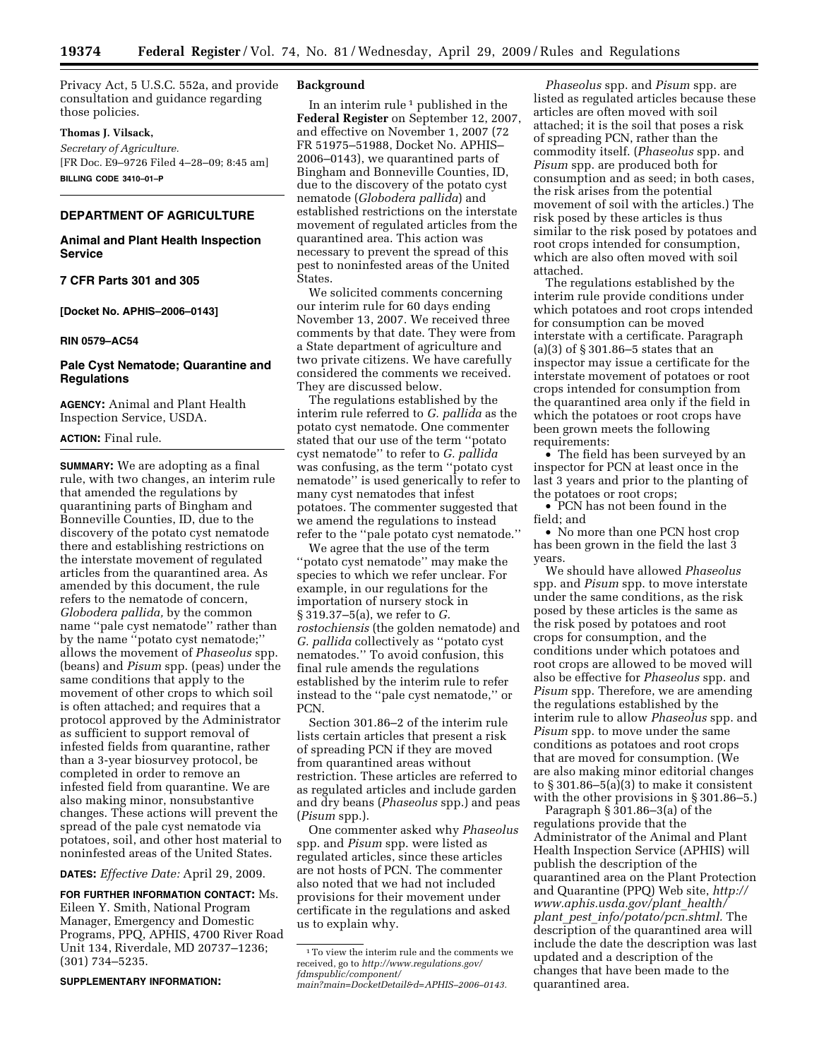Privacy Act, 5 U.S.C. 552a, and provide consultation and guidance regarding those policies.

## **Thomas J. Vilsack,**

*Secretary of Agriculture.*  [FR Doc. E9–9726 Filed 4–28–09; 8:45 am] **BILLING CODE 3410–01–P** 

# **DEPARTMENT OF AGRICULTURE**

## **Animal and Plant Health Inspection Service**

## **7 CFR Parts 301 and 305**

**[Docket No. APHIS–2006–0143]** 

#### **RIN 0579–AC54**

## **Pale Cyst Nematode; Quarantine and Regulations**

**AGENCY:** Animal and Plant Health Inspection Service, USDA.

## **ACTION:** Final rule.

**SUMMARY:** We are adopting as a final rule, with two changes, an interim rule that amended the regulations by quarantining parts of Bingham and Bonneville Counties, ID, due to the discovery of the potato cyst nematode there and establishing restrictions on the interstate movement of regulated articles from the quarantined area. As amended by this document, the rule refers to the nematode of concern, *Globodera pallida,* by the common name ''pale cyst nematode'' rather than by the name ''potato cyst nematode;'' allows the movement of *Phaseolus* spp. (beans) and *Pisum* spp. (peas) under the same conditions that apply to the movement of other crops to which soil is often attached; and requires that a protocol approved by the Administrator as sufficient to support removal of infested fields from quarantine, rather than a 3-year biosurvey protocol, be completed in order to remove an infested field from quarantine. We are also making minor, nonsubstantive changes. These actions will prevent the spread of the pale cyst nematode via potatoes, soil, and other host material to noninfested areas of the United States.

**DATES:** *Effective Date:* April 29, 2009.

**FOR FURTHER INFORMATION CONTACT:** Ms. Eileen Y. Smith, National Program Manager, Emergency and Domestic Programs, PPQ, APHIS, 4700 River Road Unit 134, Riverdale, MD 20737–1236; (301) 734–5235.

## **SUPPLEMENTARY INFORMATION:**

#### **Background**

In an interim rule  $1$  published in the **Federal Register** on September 12, 2007, and effective on November 1, 2007 (72 FR 51975–51988, Docket No. APHIS– 2006–0143), we quarantined parts of Bingham and Bonneville Counties, ID, due to the discovery of the potato cyst nematode (*Globodera pallida*) and established restrictions on the interstate movement of regulated articles from the quarantined area. This action was necessary to prevent the spread of this pest to noninfested areas of the United States.

We solicited comments concerning our interim rule for 60 days ending November 13, 2007. We received three comments by that date. They were from a State department of agriculture and two private citizens. We have carefully considered the comments we received. They are discussed below.

The regulations established by the interim rule referred to *G. pallida* as the potato cyst nematode. One commenter stated that our use of the term ''potato cyst nematode'' to refer to *G. pallida*  was confusing, as the term ''potato cyst nematode'' is used generically to refer to many cyst nematodes that infest potatoes. The commenter suggested that we amend the regulations to instead refer to the ''pale potato cyst nematode.''

We agree that the use of the term ''potato cyst nematode'' may make the species to which we refer unclear. For example, in our regulations for the importation of nursery stock in § 319.37–5(a), we refer to *G. rostochiensis* (the golden nematode) and *G. pallida* collectively as ''potato cyst nematodes.'' To avoid confusion, this final rule amends the regulations established by the interim rule to refer instead to the ''pale cyst nematode,'' or PCN.

Section 301.86–2 of the interim rule lists certain articles that present a risk of spreading PCN if they are moved from quarantined areas without restriction. These articles are referred to as regulated articles and include garden and dry beans (*Phaseolus* spp.) and peas (*Pisum* spp.).

One commenter asked why *Phaseolus*  spp. and *Pisum* spp. were listed as regulated articles, since these articles are not hosts of PCN. The commenter also noted that we had not included provisions for their movement under certificate in the regulations and asked us to explain why.

*Phaseolus* spp. and *Pisum* spp. are listed as regulated articles because these articles are often moved with soil attached; it is the soil that poses a risk of spreading PCN, rather than the commodity itself. (*Phaseolus* spp. and *Pisum* spp. are produced both for consumption and as seed; in both cases, the risk arises from the potential movement of soil with the articles.) The risk posed by these articles is thus similar to the risk posed by potatoes and root crops intended for consumption, which are also often moved with soil attached.

The regulations established by the interim rule provide conditions under which potatoes and root crops intended for consumption can be moved interstate with a certificate. Paragraph (a)(3) of § 301.86–5 states that an inspector may issue a certificate for the interstate movement of potatoes or root crops intended for consumption from the quarantined area only if the field in which the potatoes or root crops have been grown meets the following requirements:

• The field has been surveyed by an inspector for PCN at least once in the last 3 years and prior to the planting of the potatoes or root crops;

• PCN has not been found in the field; and

• No more than one PCN host crop has been grown in the field the last 3 years.

We should have allowed *Phaseolus*  spp. and *Pisum* spp. to move interstate under the same conditions, as the risk posed by these articles is the same as the risk posed by potatoes and root crops for consumption, and the conditions under which potatoes and root crops are allowed to be moved will also be effective for *Phaseolus* spp. and *Pisum* spp. Therefore, we are amending the regulations established by the interim rule to allow *Phaseolus* spp. and *Pisum* spp. to move under the same conditions as potatoes and root crops that are moved for consumption. (We are also making minor editorial changes to § 301.86–5(a)(3) to make it consistent with the other provisions in § 301.86–5.)

Paragraph § 301.86–3(a) of the regulations provide that the Administrator of the Animal and Plant Health Inspection Service (APHIS) will publish the description of the quarantined area on the Plant Protection [and Quarantine \(PPQ\) Web site,](http://www.aphis.usda.gov/plant_health/plant_pest_info/potato/pcn.shtml) *http:// www.aphis.usda.gov/plant*\_*health/ plant*\_*pest*\_*info/potato/pcn.shtml.* The description of the quarantined area will include the date the description was last updated and a description of the changes that have been made to the quarantined area.

<sup>1</sup>To view the interim rule and the comments we received, go to *http://www.regulations.gov/ fdmspublic/component/* 

*[main?main=DocketDetail&d=APHIS–2006–0143.](http://www.regulations.gov/fdmspublic/component/main?main=DocketDetail&d=APHIS-2006-0143)*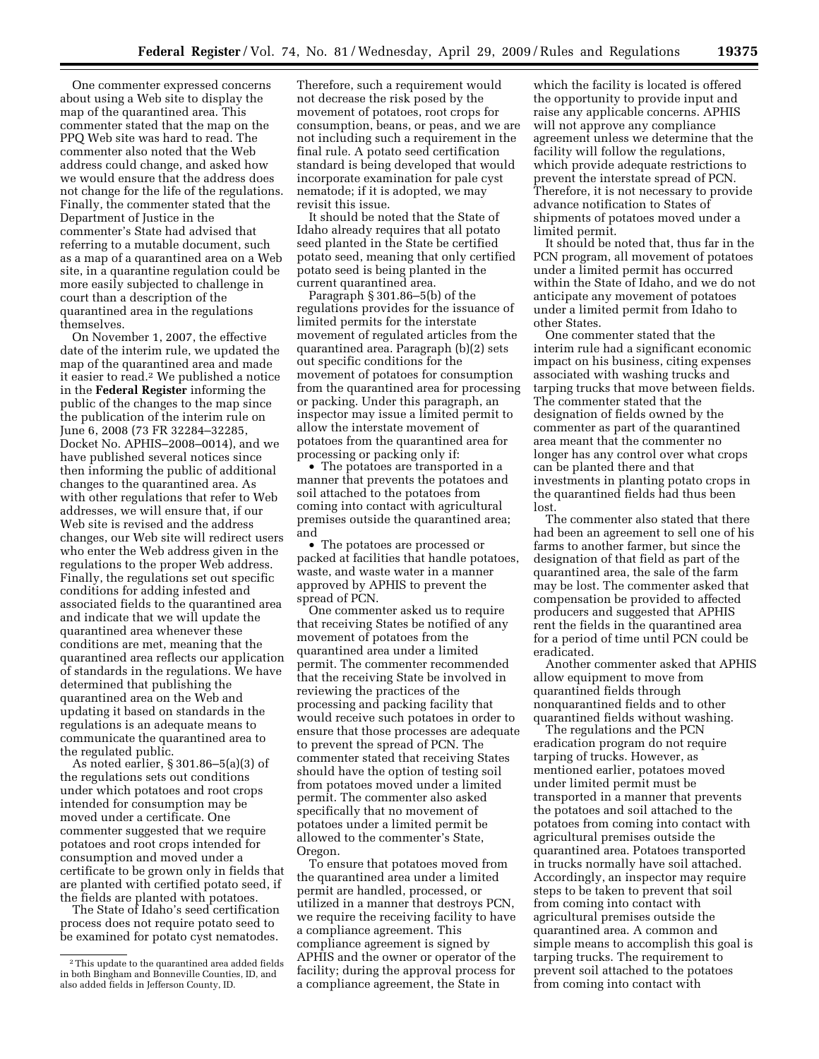One commenter expressed concerns about using a Web site to display the map of the quarantined area. This commenter stated that the map on the PPQ Web site was hard to read. The commenter also noted that the Web address could change, and asked how we would ensure that the address does not change for the life of the regulations. Finally, the commenter stated that the Department of Justice in the commenter's State had advised that referring to a mutable document, such as a map of a quarantined area on a Web site, in a quarantine regulation could be more easily subjected to challenge in court than a description of the quarantined area in the regulations themselves.

On November 1, 2007, the effective date of the interim rule, we updated the map of the quarantined area and made it easier to read.2 We published a notice in the **Federal Register** informing the public of the changes to the map since the publication of the interim rule on June 6, 2008 (73 FR 32284–32285, Docket No. APHIS–2008–0014), and we have published several notices since then informing the public of additional changes to the quarantined area. As with other regulations that refer to Web addresses, we will ensure that, if our Web site is revised and the address changes, our Web site will redirect users who enter the Web address given in the regulations to the proper Web address. Finally, the regulations set out specific conditions for adding infested and associated fields to the quarantined area and indicate that we will update the quarantined area whenever these conditions are met, meaning that the quarantined area reflects our application of standards in the regulations. We have determined that publishing the quarantined area on the Web and updating it based on standards in the regulations is an adequate means to communicate the quarantined area to the regulated public.

As noted earlier, § 301.86–5(a)(3) of the regulations sets out conditions under which potatoes and root crops intended for consumption may be moved under a certificate. One commenter suggested that we require potatoes and root crops intended for consumption and moved under a certificate to be grown only in fields that are planted with certified potato seed, if the fields are planted with potatoes.

The State of Idaho's seed certification process does not require potato seed to be examined for potato cyst nematodes.

Therefore, such a requirement would not decrease the risk posed by the movement of potatoes, root crops for consumption, beans, or peas, and we are not including such a requirement in the final rule. A potato seed certification standard is being developed that would incorporate examination for pale cyst nematode; if it is adopted, we may revisit this issue.

It should be noted that the State of Idaho already requires that all potato seed planted in the State be certified potato seed, meaning that only certified potato seed is being planted in the current quarantined area.

Paragraph § 301.86–5(b) of the regulations provides for the issuance of limited permits for the interstate movement of regulated articles from the quarantined area. Paragraph (b)(2) sets out specific conditions for the movement of potatoes for consumption from the quarantined area for processing or packing. Under this paragraph, an inspector may issue a limited permit to allow the interstate movement of potatoes from the quarantined area for processing or packing only if:

• The potatoes are transported in a manner that prevents the potatoes and soil attached to the potatoes from coming into contact with agricultural premises outside the quarantined area; and

• The potatoes are processed or packed at facilities that handle potatoes, waste, and waste water in a manner approved by APHIS to prevent the spread of PCN.

One commenter asked us to require that receiving States be notified of any movement of potatoes from the quarantined area under a limited permit. The commenter recommended that the receiving State be involved in reviewing the practices of the processing and packing facility that would receive such potatoes in order to ensure that those processes are adequate to prevent the spread of PCN. The commenter stated that receiving States should have the option of testing soil from potatoes moved under a limited permit. The commenter also asked specifically that no movement of potatoes under a limited permit be allowed to the commenter's State, Oregon.

To ensure that potatoes moved from the quarantined area under a limited permit are handled, processed, or utilized in a manner that destroys PCN, we require the receiving facility to have a compliance agreement. This compliance agreement is signed by APHIS and the owner or operator of the facility; during the approval process for a compliance agreement, the State in

which the facility is located is offered the opportunity to provide input and raise any applicable concerns. APHIS will not approve any compliance agreement unless we determine that the facility will follow the regulations, which provide adequate restrictions to prevent the interstate spread of PCN. Therefore, it is not necessary to provide advance notification to States of shipments of potatoes moved under a limited permit.

It should be noted that, thus far in the PCN program, all movement of potatoes under a limited permit has occurred within the State of Idaho, and we do not anticipate any movement of potatoes under a limited permit from Idaho to other States.

One commenter stated that the interim rule had a significant economic impact on his business, citing expenses associated with washing trucks and tarping trucks that move between fields. The commenter stated that the designation of fields owned by the commenter as part of the quarantined area meant that the commenter no longer has any control over what crops can be planted there and that investments in planting potato crops in the quarantined fields had thus been lost.

The commenter also stated that there had been an agreement to sell one of his farms to another farmer, but since the designation of that field as part of the quarantined area, the sale of the farm may be lost. The commenter asked that compensation be provided to affected producers and suggested that APHIS rent the fields in the quarantined area for a period of time until PCN could be eradicated.

Another commenter asked that APHIS allow equipment to move from quarantined fields through nonquarantined fields and to other quarantined fields without washing.

The regulations and the PCN eradication program do not require tarping of trucks. However, as mentioned earlier, potatoes moved under limited permit must be transported in a manner that prevents the potatoes and soil attached to the potatoes from coming into contact with agricultural premises outside the quarantined area. Potatoes transported in trucks normally have soil attached. Accordingly, an inspector may require steps to be taken to prevent that soil from coming into contact with agricultural premises outside the quarantined area. A common and simple means to accomplish this goal is tarping trucks. The requirement to prevent soil attached to the potatoes from coming into contact with

<sup>2</sup>This update to the quarantined area added fields in both Bingham and Bonneville Counties, ID, and also added fields in Jefferson County, ID.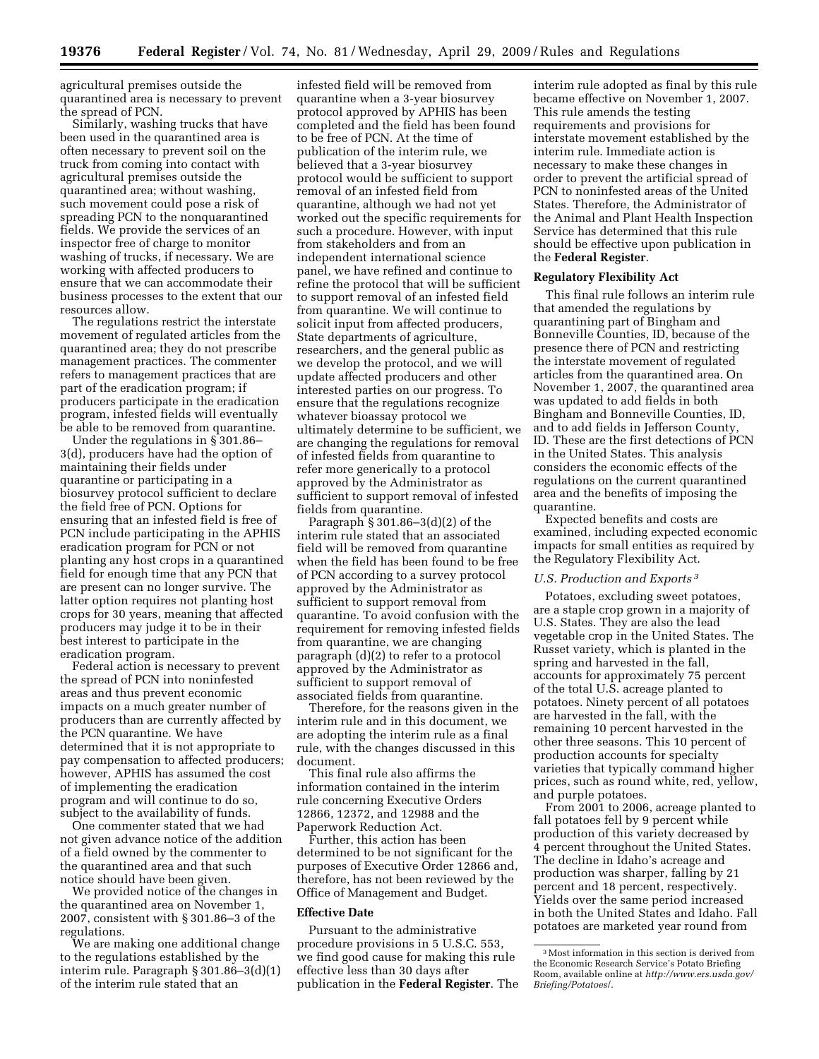agricultural premises outside the quarantined area is necessary to prevent the spread of PCN.

Similarly, washing trucks that have been used in the quarantined area is often necessary to prevent soil on the truck from coming into contact with agricultural premises outside the quarantined area; without washing, such movement could pose a risk of spreading PCN to the nonquarantined fields. We provide the services of an inspector free of charge to monitor washing of trucks, if necessary. We are working with affected producers to ensure that we can accommodate their business processes to the extent that our resources allow.

The regulations restrict the interstate movement of regulated articles from the quarantined area; they do not prescribe management practices. The commenter refers to management practices that are part of the eradication program; if producers participate in the eradication program, infested fields will eventually be able to be removed from quarantine.

Under the regulations in § 301.86– 3(d), producers have had the option of maintaining their fields under quarantine or participating in a biosurvey protocol sufficient to declare the field free of PCN. Options for ensuring that an infested field is free of PCN include participating in the APHIS eradication program for PCN or not planting any host crops in a quarantined field for enough time that any PCN that are present can no longer survive. The latter option requires not planting host crops for 30 years, meaning that affected producers may judge it to be in their best interest to participate in the eradication program.

Federal action is necessary to prevent the spread of PCN into noninfested areas and thus prevent economic impacts on a much greater number of producers than are currently affected by the PCN quarantine. We have determined that it is not appropriate to pay compensation to affected producers; however, APHIS has assumed the cost of implementing the eradication program and will continue to do so, subject to the availability of funds.

One commenter stated that we had not given advance notice of the addition of a field owned by the commenter to the quarantined area and that such notice should have been given.

We provided notice of the changes in the quarantined area on November 1, 2007, consistent with § 301.86–3 of the regulations.

We are making one additional change to the regulations established by the interim rule. Paragraph § 301.86–3(d)(1) of the interim rule stated that an

infested field will be removed from quarantine when a 3-year biosurvey protocol approved by APHIS has been completed and the field has been found to be free of PCN. At the time of publication of the interim rule, we believed that a 3-year biosurvey protocol would be sufficient to support removal of an infested field from quarantine, although we had not yet worked out the specific requirements for such a procedure. However, with input from stakeholders and from an independent international science panel, we have refined and continue to refine the protocol that will be sufficient to support removal of an infested field from quarantine. We will continue to solicit input from affected producers, State departments of agriculture, researchers, and the general public as we develop the protocol, and we will update affected producers and other interested parties on our progress. To ensure that the regulations recognize whatever bioassay protocol we ultimately determine to be sufficient, we are changing the regulations for removal of infested fields from quarantine to refer more generically to a protocol approved by the Administrator as sufficient to support removal of infested fields from quarantine.

Paragraph § 301.86–3(d)(2) of the interim rule stated that an associated field will be removed from quarantine when the field has been found to be free of PCN according to a survey protocol approved by the Administrator as sufficient to support removal from quarantine. To avoid confusion with the requirement for removing infested fields from quarantine, we are changing paragraph (d)(2) to refer to a protocol approved by the Administrator as sufficient to support removal of associated fields from quarantine.

Therefore, for the reasons given in the interim rule and in this document, we are adopting the interim rule as a final rule, with the changes discussed in this document.

This final rule also affirms the information contained in the interim rule concerning Executive Orders 12866, 12372, and 12988 and the Paperwork Reduction Act.

Further, this action has been determined to be not significant for the purposes of Executive Order 12866 and, therefore, has not been reviewed by the Office of Management and Budget.

#### **Effective Date**

Pursuant to the administrative procedure provisions in 5 U.S.C. 553, we find good cause for making this rule effective less than 30 days after publication in the **Federal Register**. The

interim rule adopted as final by this rule became effective on November 1, 2007. This rule amends the testing requirements and provisions for interstate movement established by the interim rule. Immediate action is necessary to make these changes in order to prevent the artificial spread of PCN to noninfested areas of the United States. Therefore, the Administrator of the Animal and Plant Health Inspection Service has determined that this rule should be effective upon publication in the **Federal Register**.

## **Regulatory Flexibility Act**

This final rule follows an interim rule that amended the regulations by quarantining part of Bingham and Bonneville Counties, ID, because of the presence there of PCN and restricting the interstate movement of regulated articles from the quarantined area. On November 1, 2007, the quarantined area was updated to add fields in both Bingham and Bonneville Counties, ID, and to add fields in Jefferson County, ID. These are the first detections of PCN in the United States. This analysis considers the economic effects of the regulations on the current quarantined area and the benefits of imposing the quarantine.

Expected benefits and costs are examined, including expected economic impacts for small entities as required by the Regulatory Flexibility Act.

### *U.S. Production and Exports 3*

Potatoes, excluding sweet potatoes, are a staple crop grown in a majority of U.S. States. They are also the lead vegetable crop in the United States. The Russet variety, which is planted in the spring and harvested in the fall, accounts for approximately 75 percent of the total U.S. acreage planted to potatoes. Ninety percent of all potatoes are harvested in the fall, with the remaining 10 percent harvested in the other three seasons. This 10 percent of production accounts for specialty varieties that typically command higher prices, such as round white, red, yellow, and purple potatoes.

From 2001 to 2006, acreage planted to fall potatoes fell by 9 percent while production of this variety decreased by 4 percent throughout the United States. The decline in Idaho's acreage and production was sharper, falling by 21 percent and 18 percent, respectively. Yields over the same period increased in both the United States and Idaho. Fall potatoes are marketed year round from

<sup>3</sup>Most information in this section is derived from the Economic Research Service's Potato Briefing [Room, available online at](http://www.ers.usda.gov/Briefing/Potatoes/) *http://www.ers.usda.gov/ Briefing/Potatoes*/.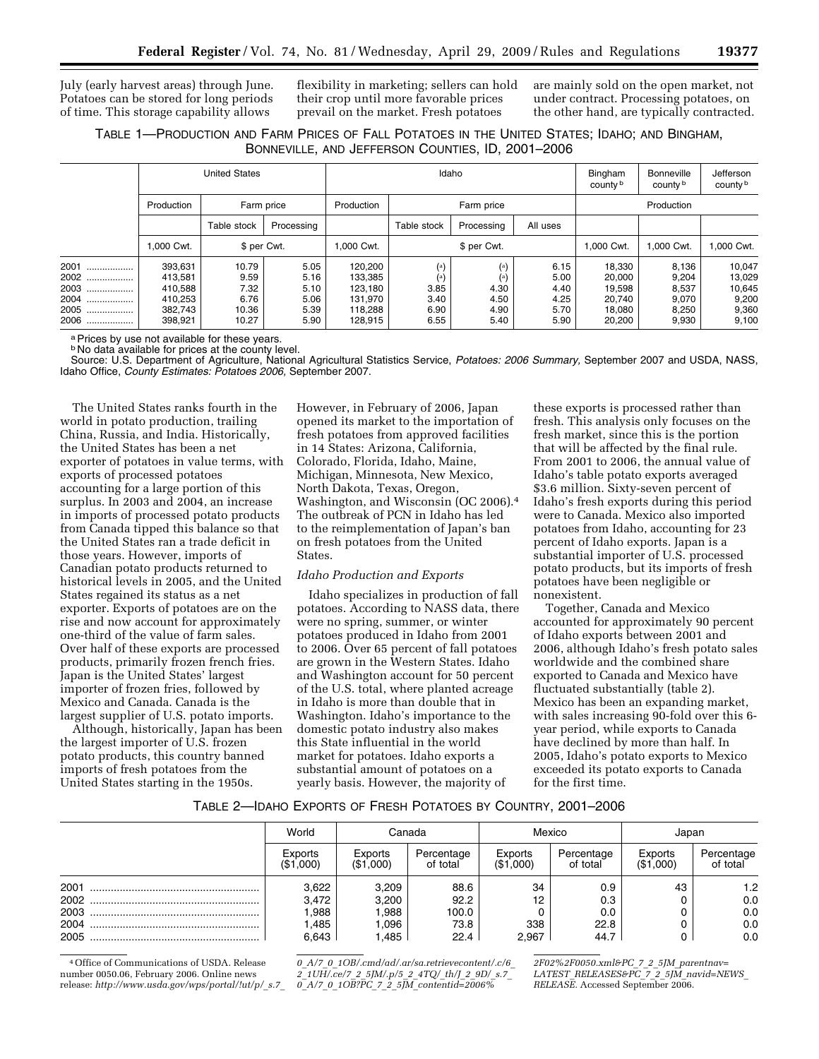July (early harvest areas) through June. Potatoes can be stored for long periods of time. This storage capability allows

flexibility in marketing; sellers can hold their crop until more favorable prices prevail on the market. Fresh potatoes

are mainly sold on the open market, not under contract. Processing potatoes, on the other hand, are typically contracted.

# TABLE 1—PRODUCTION AND FARM PRICES OF FALL POTATOES IN THE UNITED STATES; IDAHO; AND BINGHAM, BONNEVILLE, AND JEFFERSON COUNTIES, ID, 2001–2006

|                                                  | <b>United States</b>                                           |                                                 |                                              |                                                                | Idaho                                                          | Bingham<br>county b                                         | Bonneville<br>county b                       | Jefferson<br>county b                                    |                                                    |                                                       |
|--------------------------------------------------|----------------------------------------------------------------|-------------------------------------------------|----------------------------------------------|----------------------------------------------------------------|----------------------------------------------------------------|-------------------------------------------------------------|----------------------------------------------|----------------------------------------------------------|----------------------------------------------------|-------------------------------------------------------|
|                                                  | Production<br>Farm price                                       |                                                 | Production                                   |                                                                | Farm price                                                     |                                                             | Production                                   |                                                          |                                                    |                                                       |
|                                                  |                                                                | Table stock                                     | Processing                                   |                                                                | Table stock                                                    | Processing                                                  | All uses                                     |                                                          |                                                    |                                                       |
|                                                  | 1.000 Cwt.                                                     | \$ per Cwt.                                     |                                              | 1.000 Cwt.                                                     | \$ per Cwt.                                                    |                                                             | .000 Cwt.                                    | 1.000 Cwt.                                               | 1,000 Cwt.                                         |                                                       |
| 2001<br><br>2002<br>2003<br>2004<br>2005<br>2006 | 393,631<br>413,581<br>410.588<br>410.253<br>382,743<br>398,921 | 10.79<br>9.59<br>7.32<br>6.76<br>10.36<br>10.27 | 5.05<br>5.16<br>5.10<br>5.06<br>5.39<br>5.90 | 120,200<br>133,385<br>123.180<br>131.970<br>118.288<br>128,915 | $\left( \alpha \right)$<br>(a)<br>3.85<br>3.40<br>6.90<br>6.55 | $\left( \mathbf{a} \right)$<br>4.30<br>4.50<br>4.90<br>5.40 | 6.15<br>5.00<br>4.40<br>4.25<br>5.70<br>5.90 | 18,330<br>20.000<br>19.598<br>20.740<br>18.080<br>20.200 | 8,136<br>9,204<br>8,537<br>9,070<br>8,250<br>9,930 | 10,047<br>13,029<br>10,645<br>9,200<br>9,360<br>9,100 |

a Prices by use not available for these years.

**b No data available for prices at the county level.** 

Source: U.S. Department of Agriculture, National Agricultural Statistics Service, *Potatoes: 2006 Summary,* September 2007 and USDA, NASS, Idaho Office, *County Estimates: Potatoes 2006,* September 2007.

The United States ranks fourth in the world in potato production, trailing China, Russia, and India. Historically, the United States has been a net exporter of potatoes in value terms, with exports of processed potatoes accounting for a large portion of this surplus. In 2003 and 2004, an increase in imports of processed potato products from Canada tipped this balance so that the United States ran a trade deficit in those years. However, imports of Canadian potato products returned to historical levels in 2005, and the United States regained its status as a net exporter. Exports of potatoes are on the rise and now account for approximately one-third of the value of farm sales. Over half of these exports are processed products, primarily frozen french fries. Japan is the United States' largest importer of frozen fries, followed by Mexico and Canada. Canada is the largest supplier of U.S. potato imports.

Although, historically, Japan has been the largest importer of U.S. frozen potato products, this country banned imports of fresh potatoes from the United States starting in the 1950s.

However, in February of 2006, Japan opened its market to the importation of fresh potatoes from approved facilities in 14 States: Arizona, California, Colorado, Florida, Idaho, Maine, Michigan, Minnesota, New Mexico, North Dakota, Texas, Oregon, Washington, and Wisconsin (OC 2006).4 The outbreak of PCN in Idaho has led to the reimplementation of Japan's ban on fresh potatoes from the United **States**.

## *Idaho Production and Exports*

Idaho specializes in production of fall potatoes. According to NASS data, there were no spring, summer, or winter potatoes produced in Idaho from 2001 to 2006. Over 65 percent of fall potatoes are grown in the Western States. Idaho and Washington account for 50 percent of the U.S. total, where planted acreage in Idaho is more than double that in Washington. Idaho's importance to the domestic potato industry also makes this State influential in the world market for potatoes. Idaho exports a substantial amount of potatoes on a yearly basis. However, the majority of

these exports is processed rather than fresh. This analysis only focuses on the fresh market, since this is the portion that will be affected by the final rule. From 2001 to 2006, the annual value of Idaho's table potato exports averaged \$3.6 million. Sixty-seven percent of Idaho's fresh exports during this period were to Canada. Mexico also imported potatoes from Idaho, accounting for 23 percent of Idaho exports. Japan is a substantial importer of U.S. processed potato products, but its imports of fresh potatoes have been negligible or nonexistent.

Together, Canada and Mexico accounted for approximately 90 percent of Idaho exports between 2001 and 2006, although Idaho's fresh potato sales worldwide and the combined share exported to Canada and Mexico have fluctuated substantially (table 2). Mexico has been an expanding market, with sales increasing 90-fold over this 6 year period, while exports to Canada have declined by more than half. In 2005, Idaho's potato exports to Mexico exceeded its potato exports to Canada for the first time.

## TABLE 2—IDAHO EXPORTS OF FRESH POTATOES BY COUNTRY, 2001–2006

|      | World                | Canada               | Mexico                 |                      |                        |                      | Japan                  |  |
|------|----------------------|----------------------|------------------------|----------------------|------------------------|----------------------|------------------------|--|
|      | Exports<br>(\$1,000) | Exports<br>(\$1,000) | Percentage<br>of total | Exports<br>(\$1,000) | Percentage<br>of total | Exports<br>(\$1,000) | Percentage<br>of total |  |
| 2001 | 3,622                | 3,209                | 88.6                   | 34                   | 0.9                    | 43                   | 1.2                    |  |
|      | 3,472                | 3,200                | 92.2                   | 12                   | 0.3                    |                      | 0.0                    |  |
|      | .988                 | ,988                 | 100.0                  |                      | 0.0                    |                      | 0.0                    |  |
| 2004 | .485                 | .096                 | 73.8                   | 338                  | 22.8                   |                      | 0.0                    |  |
| 2005 | 6.643                | .485                 | 22.4                   | 2.967                | 44.7                   |                      | 0.0                    |  |

4Office of Communications of USDA. Release number 0050.06, February 2006. Online news release: *[http://www.usda.gov/wps/portal/!ut/p/](http://www.usda.gov/wps/portal/!ut/p/_s.7_0_A/7_0_1OB/.cmd/ad/.ar/sa.retrievecontent/.c/6_2_1UH/.ce/7_2_5JM/.p/5_2_4TQ/_th/J_2_9D/_s.7_0_A/7_0_1OB?PC_7_2_5JM_contentid=2006%2F02%2F0050.xml&PC_7_2_5JM_parentnav=LATEST_RELEASES&PC_7_2_5JM_navid=NEWS_RELEASE)*\_*s.7*\_

*0*\_*A/7*\_*0*\_*[1OB/.cmd/ad/.ar/sa.retrievecontent/.c/6](http://www.usda.gov/wps/portal/!ut/p/_s.7_0_A/7_0_1OB/.cmd/ad/.ar/sa.retrievecontent/.c/6_2_1UH/.ce/7_2_5JM/.p/5_2_4TQ/_th/J_2_9D/_s.7_0_A/7_0_1OB?PC_7_2_5JM_contentid=2006%2F02%2F0050.xml&PC_7_2_5JM_parentnav=LATEST_RELEASES&PC_7_2_5JM_navid=NEWS_RELEASE)*\_ *2*\_*1UH/.ce/7*\_*2*\_*5JM/.p/5*\_*2*\_*4TQ/*\_*th/J*\_*2*\_*9D/*\_*s.7*\_ *0*\_*A/7*\_*0*\_*1OB?PC*\_*7*\_*2*\_*5JM*\_*contentid=2006%*

*2F02%2F0050.xml&PC*\_*7*\_*2*\_*5JM*\_*parentnav= LATEST*\_*RELEASES&PC*\_*7*\_*2*\_*5JM*\_*navid=NEWS*\_ *RELEASE.* [Accessed September 2006.](http://www.usda.gov/wps/portal/!ut/p/_s.7_0_A/7_0_1OB/.cmd/ad/.ar/sa.retrievecontent/.c/6_2_1UH/.ce/7_2_5JM/.p/5_2_4TQ/_th/J_2_9D/_s.7_0_A/7_0_1OB?PC_7_2_5JM_contentid=2006%2F02%2F0050.xml&PC_7_2_5JM_parentnav=LATEST_RELEASES&PC_7_2_5JM_navid=NEWS_RELEASE)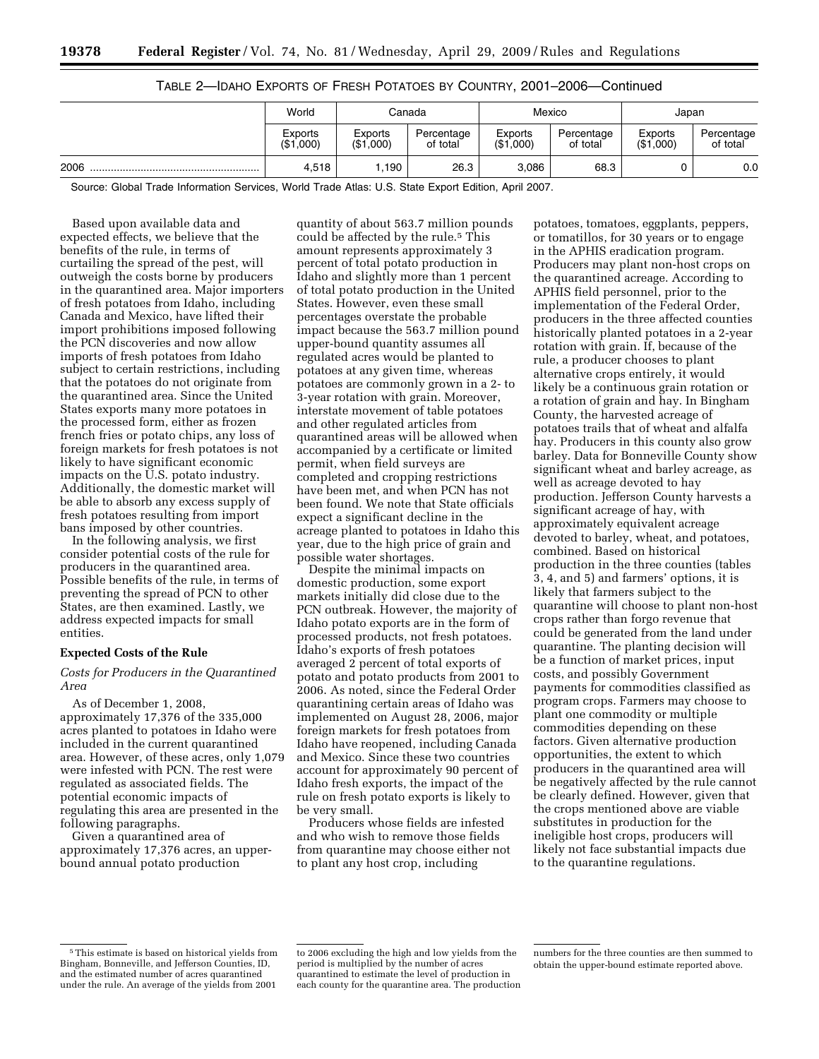|      | World                | Canada               |                        | Mexico                      |                        | Japan                |                        |
|------|----------------------|----------------------|------------------------|-----------------------------|------------------------|----------------------|------------------------|
|      | Exports<br>(\$1,000) | Exports<br>(\$1,000) | Percentage<br>of total | <b>Exports</b><br>(\$1,000) | Percentage<br>of total | Exports<br>(\$1,000) | Percentage<br>of total |
| 2006 | 4.518                | . 190                | 26.3                   | 3,086                       | 68.3                   |                      | 0.0                    |

## TABLE 2—IDAHO EXPORTS OF FRESH POTATOES BY COUNTRY, 2001–2006—Continued

Source: Global Trade Information Services, World Trade Atlas: U.S. State Export Edition, April 2007.

Based upon available data and expected effects, we believe that the benefits of the rule, in terms of curtailing the spread of the pest, will outweigh the costs borne by producers in the quarantined area. Major importers of fresh potatoes from Idaho, including Canada and Mexico, have lifted their import prohibitions imposed following the PCN discoveries and now allow imports of fresh potatoes from Idaho subject to certain restrictions, including that the potatoes do not originate from the quarantined area. Since the United States exports many more potatoes in the processed form, either as frozen french fries or potato chips, any loss of foreign markets for fresh potatoes is not likely to have significant economic impacts on the U.S. potato industry. Additionally, the domestic market will be able to absorb any excess supply of fresh potatoes resulting from import bans imposed by other countries.

In the following analysis, we first consider potential costs of the rule for producers in the quarantined area. Possible benefits of the rule, in terms of preventing the spread of PCN to other States, are then examined. Lastly, we address expected impacts for small entities.

## **Expected Costs of the Rule**

## *Costs for Producers in the Quarantined Area*

As of December 1, 2008, approximately 17,376 of the 335,000 acres planted to potatoes in Idaho were included in the current quarantined area. However, of these acres, only 1,079 were infested with PCN. The rest were regulated as associated fields. The potential economic impacts of regulating this area are presented in the following paragraphs.

Given a quarantined area of approximately 17,376 acres, an upperbound annual potato production

quantity of about 563.7 million pounds could be affected by the rule.<sup>5</sup> This amount represents approximately 3 percent of total potato production in Idaho and slightly more than 1 percent of total potato production in the United States. However, even these small percentages overstate the probable impact because the 563.7 million pound upper-bound quantity assumes all regulated acres would be planted to potatoes at any given time, whereas potatoes are commonly grown in a 2- to 3-year rotation with grain. Moreover, interstate movement of table potatoes and other regulated articles from quarantined areas will be allowed when accompanied by a certificate or limited permit, when field surveys are completed and cropping restrictions have been met, and when PCN has not been found. We note that State officials expect a significant decline in the acreage planted to potatoes in Idaho this year, due to the high price of grain and possible water shortages.

Despite the minimal impacts on domestic production, some export markets initially did close due to the PCN outbreak. However, the majority of Idaho potato exports are in the form of processed products, not fresh potatoes. Idaho's exports of fresh potatoes averaged 2 percent of total exports of potato and potato products from 2001 to 2006. As noted, since the Federal Order quarantining certain areas of Idaho was implemented on August 28, 2006, major foreign markets for fresh potatoes from Idaho have reopened, including Canada and Mexico. Since these two countries account for approximately 90 percent of Idaho fresh exports, the impact of the rule on fresh potato exports is likely to be very small.

Producers whose fields are infested and who wish to remove those fields from quarantine may choose either not to plant any host crop, including

potatoes, tomatoes, eggplants, peppers, or tomatillos, for 30 years or to engage in the APHIS eradication program. Producers may plant non-host crops on the quarantined acreage. According to APHIS field personnel, prior to the implementation of the Federal Order, producers in the three affected counties historically planted potatoes in a 2-year rotation with grain. If, because of the rule, a producer chooses to plant alternative crops entirely, it would likely be a continuous grain rotation or a rotation of grain and hay. In Bingham County, the harvested acreage of potatoes trails that of wheat and alfalfa hay. Producers in this county also grow barley. Data for Bonneville County show significant wheat and barley acreage, as well as acreage devoted to hay production. Jefferson County harvests a significant acreage of hay, with approximately equivalent acreage devoted to barley, wheat, and potatoes, combined. Based on historical production in the three counties (tables 3, 4, and 5) and farmers' options, it is likely that farmers subject to the quarantine will choose to plant non-host crops rather than forgo revenue that could be generated from the land under quarantine. The planting decision will be a function of market prices, input costs, and possibly Government payments for commodities classified as program crops. Farmers may choose to plant one commodity or multiple commodities depending on these factors. Given alternative production opportunities, the extent to which producers in the quarantined area will be negatively affected by the rule cannot be clearly defined. However, given that the crops mentioned above are viable substitutes in production for the ineligible host crops, producers will likely not face substantial impacts due to the quarantine regulations.

<sup>5</sup>This estimate is based on historical yields from Bingham, Bonneville, and Jefferson Counties, ID, and the estimated number of acres quarantined under the rule. An average of the yields from 2001

to 2006 excluding the high and low yields from the period is multiplied by the number of acres quarantined to estimate the level of production in each county for the quarantine area. The production

numbers for the three counties are then summed to obtain the upper-bound estimate reported above.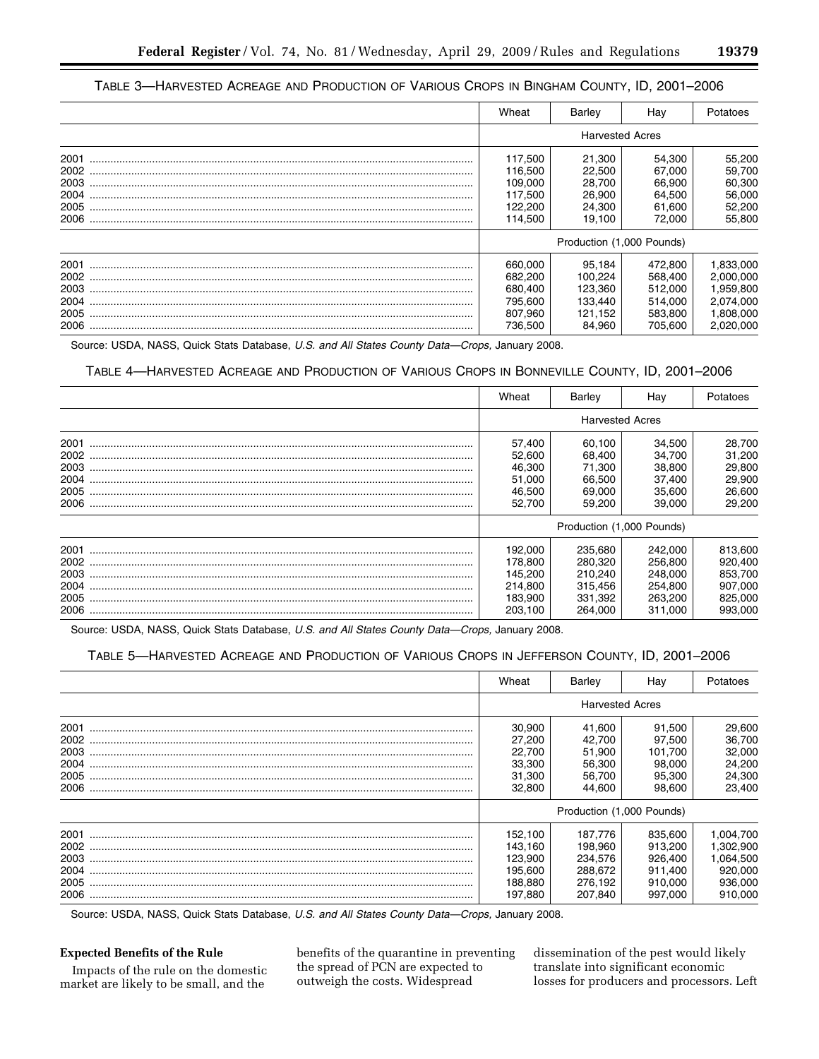# TABLE 3-HARVESTED ACREAGE AND PRODUCTION OF VARIOUS CROPS IN BINGHAM COUNTY, ID, 2001-2006

|      | Wheat   | Barley                    | Hav     | Potatoes  |  |
|------|---------|---------------------------|---------|-----------|--|
|      |         | <b>Harvested Acres</b>    |         |           |  |
| 2001 | 117,500 | 21,300                    | 54,300  | 55,200    |  |
| 2002 | 116,500 | 22.500                    | 67,000  | 59,700    |  |
| 2003 | 109,000 | 28.700                    | 66,900  | 60,300    |  |
| 2004 | 117.500 | 26.900                    | 64.500  | 56,000    |  |
| 2005 | 122,200 | 24,300                    | 61,600  | 52,200    |  |
| 2006 | 114.500 | 19,100                    | 72,000  | 55,800    |  |
|      |         | Production (1,000 Pounds) |         |           |  |
| 2001 | 660,000 | 95.184                    | 472.800 | 1,833,000 |  |
| 2002 | 682,200 | 100,224                   | 568,400 | 2,000,000 |  |
| 2003 | 680.400 | 123.360                   | 512.000 | 1,959,800 |  |
| 2004 | 795.600 | 133.440                   | 514.000 | 2,074,000 |  |
| 2005 | 807.960 | 121,152                   | 583,800 | 1,808,000 |  |
| 2006 | 736.500 | 84,960                    | 705.600 | 2,020,000 |  |

Source: USDA, NASS, Quick Stats Database, U.S. and All States County Data-Crops, January 2008.

## TABLE 4-HARVESTED ACREAGE AND PRODUCTION OF VARIOUS CROPS IN BONNEVILLE COUNTY, ID, 2001-2006

|      | Wheat                     | Barley                 | Hav     | Potatoes |
|------|---------------------------|------------------------|---------|----------|
|      |                           | <b>Harvested Acres</b> |         |          |
| 2001 | 57.400                    | 60.100                 | 34.500  | 28,700   |
| 2002 | 52,600                    | 68.400                 | 34,700  | 31,200   |
| 2003 | 46,300                    | 71.300                 | 38,800  | 29,800   |
| 2004 | 51,000                    | 66,500                 | 37,400  | 29,900   |
| 2005 | 46,500                    | 69,000                 | 35,600  | 26,600   |
| 2006 | 52.700                    | 59,200                 | 39,000  | 29,200   |
|      | Production (1,000 Pounds) |                        |         |          |
| 2001 | 192.000                   | 235,680                | 242.000 | 813,600  |
| 2002 | 178,800                   | 280,320                | 256,800 | 920,400  |
| 2003 | 145,200                   | 210.240                | 248,000 | 853,700  |
| 2004 | 214,800                   | 315,456                | 254,800 | 907,000  |
| 2005 | 183.900                   | 331,392                | 263,200 | 825,000  |
| 2006 | 203,100                   | 264,000                | 311,000 | 993,000  |

Source: USDA, NASS, Quick Stats Database, U.S. and All States County Data-Crops, January 2008.

# TABLE 5-HARVESTED ACREAGE AND PRODUCTION OF VARIOUS CROPS IN JEFFERSON COUNTY, ID, 2001-2006

|      | Wheat                     | Barley                 | Hay     | Potatoes  |  |
|------|---------------------------|------------------------|---------|-----------|--|
|      |                           | <b>Harvested Acres</b> |         |           |  |
| 2001 | 30,900                    | 41.600                 | 91.500  | 29,600    |  |
| 2002 | 27.200                    | 42.700                 | 97.500  | 36,700    |  |
| 2003 | 22.700                    | 51.900                 | 101.700 | 32,000    |  |
| 2004 | 33,300                    | 56.300                 | 98.000  | 24,200    |  |
| 2005 | 31,300                    | 56,700                 | 95,300  | 24,300    |  |
| 2006 | 32,800                    | 44,600                 | 98.600  | 23.400    |  |
|      | Production (1,000 Pounds) |                        |         |           |  |
| 2001 | 152.100                   | 187.776                | 835,600 | 1,004,700 |  |
| 2002 | 143.160                   | 198.960                | 913.200 | 1,302,900 |  |
| 2003 | 123,900                   | 234,576                | 926,400 | 1,064,500 |  |
| 2004 | 195,600                   | 288.672                | 911.400 | 920,000   |  |
| 2005 | 188.880                   | 276,192                | 910.000 | 936,000   |  |
| 2006 | 197.880                   | 207.840                | 997.000 | 910,000   |  |

Source: USDA, NASS, Quick Stats Database, U.S. and All States County Data-Crops, January 2008.

## **Expected Benefits of the Rule**

Impacts of the rule on the domestic market are likely to be small, and the

benefits of the quarantine in preventing the spread of PCN are expected to outweigh the costs. Widespread

dissemination of the pest would likely translate into significant economic losses for producers and processors. Left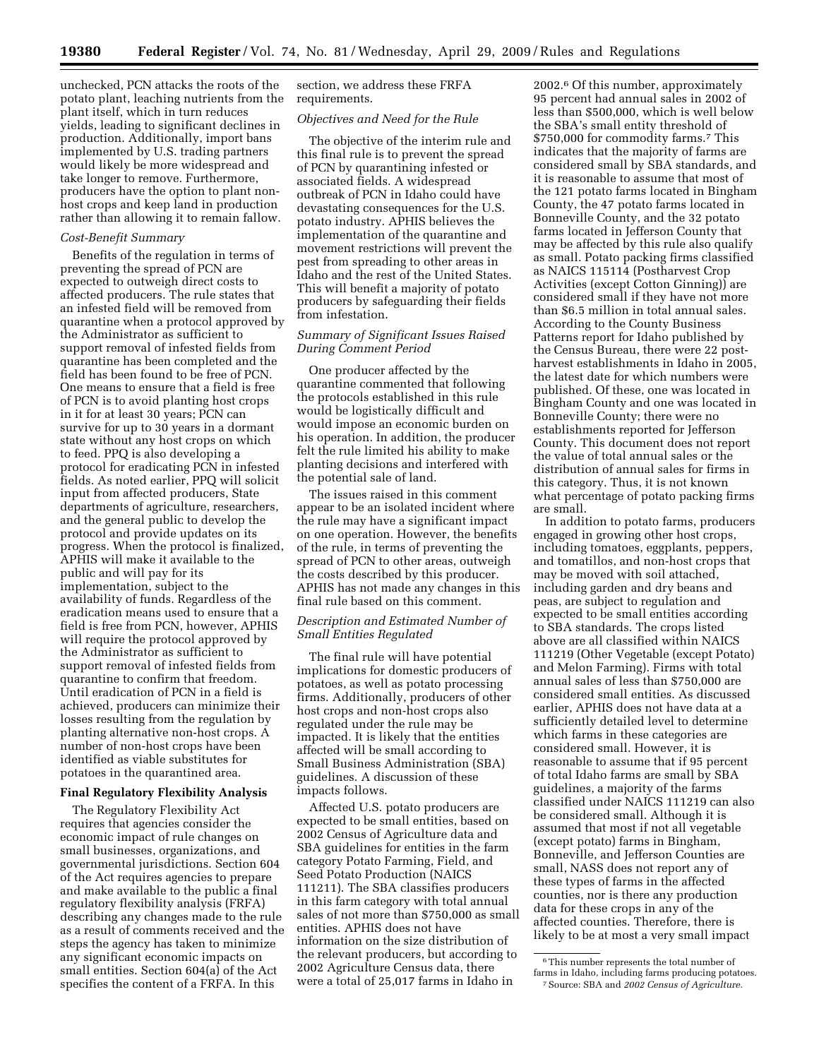unchecked, PCN attacks the roots of the potato plant, leaching nutrients from the plant itself, which in turn reduces yields, leading to significant declines in production. Additionally, import bans implemented by U.S. trading partners would likely be more widespread and take longer to remove. Furthermore, producers have the option to plant nonhost crops and keep land in production rather than allowing it to remain fallow.

#### *Cost-Benefit Summary*

Benefits of the regulation in terms of preventing the spread of PCN are expected to outweigh direct costs to affected producers. The rule states that an infested field will be removed from quarantine when a protocol approved by the Administrator as sufficient to support removal of infested fields from quarantine has been completed and the field has been found to be free of PCN. One means to ensure that a field is free of PCN is to avoid planting host crops in it for at least 30 years; PCN can survive for up to 30 years in a dormant state without any host crops on which to feed. PPQ is also developing a protocol for eradicating PCN in infested fields. As noted earlier, PPQ will solicit input from affected producers, State departments of agriculture, researchers, and the general public to develop the protocol and provide updates on its progress. When the protocol is finalized, APHIS will make it available to the public and will pay for its implementation, subject to the availability of funds. Regardless of the eradication means used to ensure that a field is free from PCN, however, APHIS will require the protocol approved by the Administrator as sufficient to support removal of infested fields from quarantine to confirm that freedom. Until eradication of PCN in a field is achieved, producers can minimize their losses resulting from the regulation by planting alternative non-host crops. A number of non-host crops have been identified as viable substitutes for potatoes in the quarantined area.

## **Final Regulatory Flexibility Analysis**

The Regulatory Flexibility Act requires that agencies consider the economic impact of rule changes on small businesses, organizations, and governmental jurisdictions. Section 604 of the Act requires agencies to prepare and make available to the public a final regulatory flexibility analysis (FRFA) describing any changes made to the rule as a result of comments received and the steps the agency has taken to minimize any significant economic impacts on small entities. Section 604(a) of the Act specifies the content of a FRFA. In this

section, we address these FRFA requirements.

#### *Objectives and Need for the Rule*

The objective of the interim rule and this final rule is to prevent the spread of PCN by quarantining infested or associated fields. A widespread outbreak of PCN in Idaho could have devastating consequences for the U.S. potato industry. APHIS believes the implementation of the quarantine and movement restrictions will prevent the pest from spreading to other areas in Idaho and the rest of the United States. This will benefit a majority of potato producers by safeguarding their fields from infestation.

## *Summary of Significant Issues Raised During Comment Period*

One producer affected by the quarantine commented that following the protocols established in this rule would be logistically difficult and would impose an economic burden on his operation. In addition, the producer felt the rule limited his ability to make planting decisions and interfered with the potential sale of land.

The issues raised in this comment appear to be an isolated incident where the rule may have a significant impact on one operation. However, the benefits of the rule, in terms of preventing the spread of PCN to other areas, outweigh the costs described by this producer. APHIS has not made any changes in this final rule based on this comment.

## *Description and Estimated Number of Small Entities Regulated*

The final rule will have potential implications for domestic producers of potatoes, as well as potato processing firms. Additionally, producers of other host crops and non-host crops also regulated under the rule may be impacted. It is likely that the entities affected will be small according to Small Business Administration (SBA) guidelines. A discussion of these impacts follows.

Affected U.S. potato producers are expected to be small entities, based on 2002 Census of Agriculture data and SBA guidelines for entities in the farm category Potato Farming, Field, and Seed Potato Production (NAICS 111211). The SBA classifies producers in this farm category with total annual sales of not more than \$750,000 as small entities. APHIS does not have information on the size distribution of the relevant producers, but according to 2002 Agriculture Census data, there were a total of 25,017 farms in Idaho in

2002.6 Of this number, approximately 95 percent had annual sales in 2002 of less than \$500,000, which is well below the SBA's small entity threshold of \$750,000 for commodity farms.7 This indicates that the majority of farms are considered small by SBA standards, and it is reasonable to assume that most of the 121 potato farms located in Bingham County, the 47 potato farms located in Bonneville County, and the 32 potato farms located in Jefferson County that may be affected by this rule also qualify as small. Potato packing firms classified as NAICS 115114 (Postharvest Crop Activities (except Cotton Ginning)) are considered small if they have not more than \$6.5 million in total annual sales. According to the County Business Patterns report for Idaho published by the Census Bureau, there were 22 postharvest establishments in Idaho in 2005, the latest date for which numbers were published. Of these, one was located in Bingham County and one was located in Bonneville County; there were no establishments reported for Jefferson County. This document does not report the value of total annual sales or the distribution of annual sales for firms in this category. Thus, it is not known what percentage of potato packing firms are small.

In addition to potato farms, producers engaged in growing other host crops, including tomatoes, eggplants, peppers, and tomatillos, and non-host crops that may be moved with soil attached, including garden and dry beans and peas, are subject to regulation and expected to be small entities according to SBA standards. The crops listed above are all classified within NAICS 111219 (Other Vegetable (except Potato) and Melon Farming). Firms with total annual sales of less than \$750,000 are considered small entities. As discussed earlier, APHIS does not have data at a sufficiently detailed level to determine which farms in these categories are considered small. However, it is reasonable to assume that if 95 percent of total Idaho farms are small by SBA guidelines, a majority of the farms classified under NAICS 111219 can also be considered small. Although it is assumed that most if not all vegetable (except potato) farms in Bingham, Bonneville, and Jefferson Counties are small, NASS does not report any of these types of farms in the affected counties, nor is there any production data for these crops in any of the affected counties. Therefore, there is likely to be at most a very small impact

 $^{\rm 6}$  This number represents the total number of farms in Idaho, including farms producing potatoes. 7Source: SBA and *2002 Census of Agriculture.*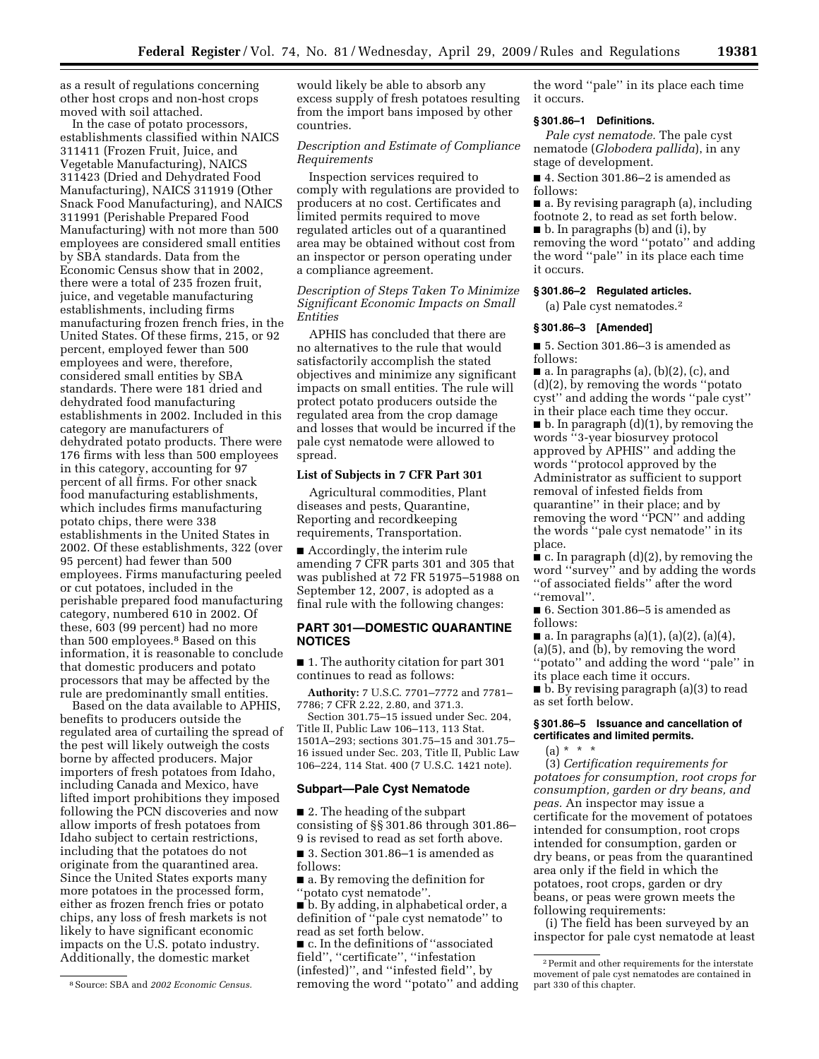as a result of regulations concerning other host crops and non-host crops moved with soil attached.

In the case of potato processors, establishments classified within NAICS 311411 (Frozen Fruit, Juice, and Vegetable Manufacturing), NAICS 311423 (Dried and Dehydrated Food Manufacturing), NAICS 311919 (Other Snack Food Manufacturing), and NAICS 311991 (Perishable Prepared Food Manufacturing) with not more than 500 employees are considered small entities by SBA standards. Data from the Economic Census show that in 2002, there were a total of 235 frozen fruit, juice, and vegetable manufacturing establishments, including firms manufacturing frozen french fries, in the United States. Of these firms, 215, or 92 percent, employed fewer than 500 employees and were, therefore, considered small entities by SBA standards. There were 181 dried and dehydrated food manufacturing establishments in 2002. Included in this category are manufacturers of dehydrated potato products. There were 176 firms with less than 500 employees in this category, accounting for 97 percent of all firms. For other snack food manufacturing establishments, which includes firms manufacturing potato chips, there were 338 establishments in the United States in 2002. Of these establishments, 322 (over 95 percent) had fewer than 500 employees. Firms manufacturing peeled or cut potatoes, included in the perishable prepared food manufacturing category, numbered 610 in 2002. Of these, 603 (99 percent) had no more than 500 employees.8 Based on this information, it is reasonable to conclude that domestic producers and potato processors that may be affected by the rule are predominantly small entities.

Based on the data available to APHIS, benefits to producers outside the regulated area of curtailing the spread of the pest will likely outweigh the costs borne by affected producers. Major importers of fresh potatoes from Idaho, including Canada and Mexico, have lifted import prohibitions they imposed following the PCN discoveries and now allow imports of fresh potatoes from Idaho subject to certain restrictions, including that the potatoes do not originate from the quarantined area. Since the United States exports many more potatoes in the processed form, either as frozen french fries or potato chips, any loss of fresh markets is not likely to have significant economic impacts on the U.S. potato industry. Additionally, the domestic market

would likely be able to absorb any excess supply of fresh potatoes resulting from the import bans imposed by other countries.

## *Description and Estimate of Compliance Requirements*

Inspection services required to comply with regulations are provided to producers at no cost. Certificates and limited permits required to move regulated articles out of a quarantined area may be obtained without cost from an inspector or person operating under a compliance agreement.

*Description of Steps Taken To Minimize Significant Economic Impacts on Small Entities* 

APHIS has concluded that there are no alternatives to the rule that would satisfactorily accomplish the stated objectives and minimize any significant impacts on small entities. The rule will protect potato producers outside the regulated area from the crop damage and losses that would be incurred if the pale cyst nematode were allowed to spread.

#### **List of Subjects in 7 CFR Part 301**

Agricultural commodities, Plant diseases and pests, Quarantine, Reporting and recordkeeping requirements, Transportation.

■ Accordingly, the interim rule amending 7 CFR parts 301 and 305 that was published at 72 FR 51975–51988 on September 12, 2007, is adopted as a final rule with the following changes:

## **PART 301—DOMESTIC QUARANTINE NOTICES**

■ 1. The authority citation for part 301 continues to read as follows:

**Authority:** 7 U.S.C. 7701–7772 and 7781– 7786; 7 CFR 2.22, 2.80, and 371.3.

Section 301.75–15 issued under Sec. 204, Title II, Public Law 106–113, 113 Stat. 1501A–293; sections 301.75–15 and 301.75– 16 issued under Sec. 203, Title II, Public Law 106–224, 114 Stat. 400 (7 U.S.C. 1421 note).

#### **Subpart—Pale Cyst Nematode**

■ 2. The heading of the subpart consisting of §§ 301.86 through 301.86– 9 is revised to read as set forth above.

■ 3. Section 301.86–1 is amended as follows:

■ a. By removing the definition for ''potato cyst nematode''.

■ b. By adding, in alphabetical order, a definition of ''pale cyst nematode'' to read as set forth below.

■ c. In the definitions of "associated field'', ''certificate'', ''infestation (infested)'', and ''infested field'', by removing the word ''potato'' and adding

the word ''pale'' in its place each time it occurs.

## **§ 301.86–1 Definitions.**

*Pale cyst nematode.* The pale cyst nematode (*Globodera pallida*), in any stage of development.

■ 4. Section 301.86-2 is amended as follows:

■ a. By revising paragraph (a), including footnote 2, to read as set forth below. ■ b. In paragraphs (b) and (i), by removing the word ''potato'' and adding

the word ''pale'' in its place each time it occurs.

# **§ 301.86–2 Regulated articles.**

(a) Pale cyst nematodes.2

## **§ 301.86–3 [Amended]**

■ 5. Section 301.86–3 is amended as follows:

■ a. In paragraphs (a), (b)(2), (c), and (d)(2), by removing the words ''potato cyst'' and adding the words ''pale cyst'' in their place each time they occur.  $\blacksquare$  b. In paragraph  $(d)(1)$ , by removing the words ''3-year biosurvey protocol approved by APHIS'' and adding the words ''protocol approved by the Administrator as sufficient to support removal of infested fields from quarantine'' in their place; and by removing the word ''PCN'' and adding the words ''pale cyst nematode'' in its place.

 $\bullet$  c. In paragraph (d)(2), by removing the word ''survey'' and by adding the words ''of associated fields'' after the word "removal".

■ 6. Section 301.86–5 is amended as follows:

■ a. In paragraphs (a)(1), (a)(2), (a)(4), (a)(5), and (b), by removing the word ''potato'' and adding the word ''pale'' in its place each time it occurs.

■ b. By revising paragraph (a)(3) to read as set forth below.

## **§ 301.86–5 Issuance and cancellation of certificates and limited permits.**

(a) \* \* \*

(3) *Certification requirements for potatoes for consumption, root crops for consumption, garden or dry beans, and peas.* An inspector may issue a certificate for the movement of potatoes intended for consumption, root crops intended for consumption, garden or dry beans, or peas from the quarantined area only if the field in which the potatoes, root crops, garden or dry beans, or peas were grown meets the following requirements:

(i) The field has been surveyed by an inspector for pale cyst nematode at least

<sup>8</sup>Source: SBA and *2002 Economic Census.* 

 $\sqrt[2]{2}$  Permit and other requirements for the interstate movement of pale cyst nematodes are contained in part 330 of this chapter.